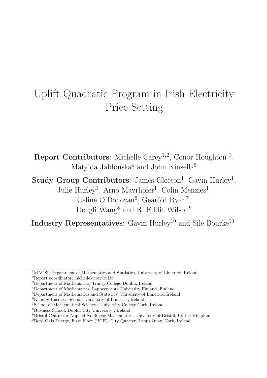# Uplift Quadratic Program in Irish Electricity Price Setting

**Report Contributors**: Michelle Carey<sup>1,2</sup>, Conor Houghton<sup>3</sup>, Matylda Jabłońska<sup>4</sup> and John Kinsella<sup>5</sup>

Study Group Contributors: James Gleeson<sup>1</sup>, Gavin Hurley<sup>1</sup>, Julie Hurley<sup>1</sup>, Arno Mayrhofer<sup>1</sup>, Colin Menzies<sup>1</sup>, Celine O'Donovan<sup>6</sup>, Gearóid Ryan<sup>7</sup>, Dengli Wang<sup>8</sup> and R. Eddie Wilson<sup>9</sup>

Industry Representatives: Gavin Hurley<sup>10</sup> and Sile Bourke<sup>10</sup>

<sup>1</sup>MACSI, Department of Mathematics and Statistics, University of Limerick, Ireland <sup>2</sup>Report coordinator, michelle.carey@ul.ie

<sup>3</sup>Department of Mathematics, Trinity College Dublin, Ireland

<sup>4</sup>Department of Mathematics, Lappeenranta University Finland, Finland

<sup>5</sup>Department of Mathematics and Statistics, University of Limerick, Ireland

<sup>6</sup>Kemmy Business School, University of Limerick, Ireland

<sup>7</sup>School of Mathematical Sciences, University College Cork, Ireland

<sup>8</sup>Business School, Dublin City University , Ireland

<sup>9</sup>Bristol Centre for Applied Nonlinear Mathematics, University of Bristol, United Kingdom

<sup>10</sup>Bord Gáis Energy, First Floor (BGE), City Quarter, Lapps Quay, Cork, Ireland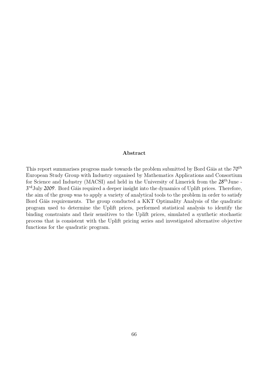#### Abstract

This report summarises progress made towards the problem submitted by Bord Gáis at the 70<sup>th</sup> European Study Group with Industry organised by Mathematics Applications and Consortium for Science and Industry (MACSI) and held in the University of Limerick from the 28<sup>th</sup>June -3<sup>rd</sup>July 2009. Bord Gáis required a deeper insight into the dynamics of Uplift prices. Therefore, the aim of the group was to apply a variety of analytical tools to the problem in order to satisfy Bord Gáis requirements. The group conducted a KKT Optimality Analysis of the quadratic program used to determine the Uplift prices, performed statistical analysis to identify the binding constraints and their sensitives to the Uplift prices, simulated a synthetic stochastic process that is consistent with the Uplift pricing series and investigated alternative objective functions for the quadratic program.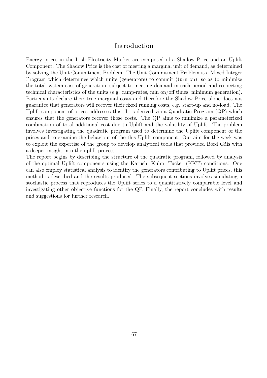#### Introduction

Energy prices in the Irish Electricity Market are composed of a Shadow Price and an Uplift Component. The Shadow Price is the cost of meeting a marginal unit of demand, as determined by solving the Unit Commitment Problem. The Unit Commitment Problem is a Mixed Integer Program which determines which units (generators) to commit (turn on), so as to minimize the total system cost of generation, subject to meeting demand in each period and respecting technical characteristics of the units (e.g. ramp-rates, min on/off times, minimum generation). Participants declare their true marginal costs and therefore the Shadow Price alone does not guarantee that generators will recover their fixed running costs, e.g. start-up and no-load. The Uplift component of prices addresses this. It is derived via a Quadratic Program (QP) which ensures that the generators recover those costs. The QP aims to minimize a parameterized combination of total additional cost due to Uplift and the volatility of Uplift. The problem involves investigating the quadratic program used to determine the Uplift component of the prices and to examine the behaviour of the this Uplift component. Our aim for the week was to exploit the expertise of the group to develop analytical tools that provided Bord Gáis with a deeper insight into the uplift process.

The report begins by describing the structure of the quadratic program, followed by analysis of the optimal Uplift components using the Karush\_Kuhn\_Tucker (KKT) conditions. One can also employ statistical analysis to identify the generators contributing to Uplift prices, this method is described and the results produced. The subsequent sections involves simulating a stochastic process that reproduces the Uplift series to a quantitatively comparable level and investigating other objective functions for the QP. Finally, the report concludes with results and suggestions for further research.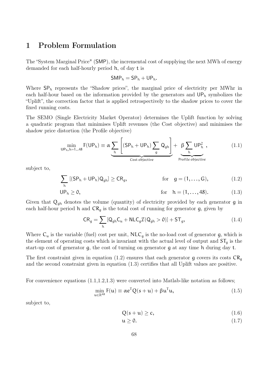## 1 Problem Formulation

The "System Marginal Price" (SMP), the incremental cost of supplying the next MWh of energy demanded for each half-hourly period h, of day t is

$$
\mathsf{SMP}_h = \mathsf{SP}_h + \mathsf{UP}_h.
$$

Where  $SP<sub>h</sub>$  represents the "Shadow prices", the marginal price of electricity per MWhr in each half-hour based on the information provided by the generators and  $UP_h$  symbolizes the "Uplift", the correction factor that is applied retrospectively to the shadow prices to cover the fixed running costs.

The SEMO (Single Electricity Market Operator) determines the Uplift function by solving a quadratic program that minimises Uplift revenues (the Cost objective) and minimises the shadow price distortion (the Profile objective)

$$
\min_{\mathsf{UP}_{h},h=1...48} \mathsf{F}(\mathsf{UP}_{h}) \equiv \alpha \underbrace{\sum_{h} \left[ (\mathsf{SP}_{h} + \mathsf{UP}_{h}) \sum_{g} \mathsf{Q}_{gh} \right]}_{\text{Cost objective}} + \underbrace{\beta \sum_{h} \mathsf{UP}_{h}^{2}}_{\text{Profile objective}}, \qquad (1.1)
$$

subject to,

$$
\sum_{h} [(SP_h + UP_h)Q_{gh}] \ge CR_g, \qquad \text{for} \quad g = (1, ..., G), \qquad (1.2)
$$

$$
UP_h \ge 0,
$$
 for  $h = (1, ..., 48).$  (1.3)

Given that  $Q_{gh}$  denotes the volume (quantity) of electricity provided by each generator g in each half-hour period h and  $CR<sub>g</sub>$  is the total cost of running for generator g, given by

$$
CR_g = \sum_{h} [Q_{gh}C_u + NLC_g \mathcal{I}(Q_{gh} > 0)] + ST_g,
$$
\n(1.4)

Where  $C_u$  is the variable (fuel) cost per unit,  $NLC_g$  is the no-load cost of generator g, which is the element of operating costs which is invariant with the actual level of output and  $ST_q$  is the start-up cost of generator g, the cost of turning on generator g at any time h during day t.

The first constraint given in equation (1.2) ensures that each generator q covers its costs  $CR<sub>0</sub>$ and the second constraint given in equation (1.3) certifies that all Uplift values are positive.

For convenience equations  $(1.1,1.2,1.3)$  were converted into Matlab-like notation as follows;

$$
\min_{\mathbf{u}\in\mathbb{R}^{48}} \mathbf{F}(\mathbf{u}) \equiv \alpha \mathbf{e}^{\mathsf{T}} \mathbf{Q}(s+\mathbf{u}) + \beta \mathbf{u}^{\mathsf{T}} \mathbf{u},\tag{1.5}
$$

subject to,

$$
Q(s+u) \ge c,\tag{1.6}
$$

$$
\mathfrak{u} \ge 0. \tag{1.7}
$$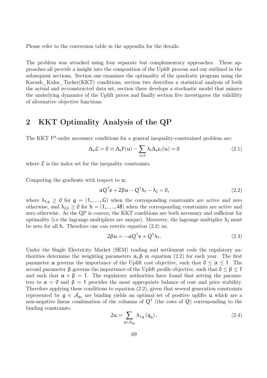Please refer to the conversion table in the appendix for the details.

The problem was attacked using four separate but complementary approaches. These approaches all provide a insight into the composition of the Uplift process and our outlined in the subsequent sections. Section one examines the optimality of the quadratic program using the Karush Kuhn Tucker(KKT) conditions, section two describes a statistical analysis of both the actual and re-constructed data set, section three develops a stochastic model that mimics the underlying dynamics of the Uplift prices and finally section five investigates the validility of alternative objective functions.

# 2 KKT Optimality Analysis of the QP

The KKT <sup>1st</sup>-order necessary conditions for a general inequality-constrained problem are:

$$
\Delta_{\mathfrak{u}}\mathcal{L} = 0 \equiv \Delta_{\mathfrak{u}}F(\mathfrak{u}) - \sum_{i \in \mathcal{I}} \lambda_i \Delta_{\mathfrak{u}}c_i(\mathfrak{u}) = 0 \qquad (2.1)
$$

where  $\mathcal I$  is the index set for the inequality constraints.

Computing the gradients with respect to u;

$$
\alpha Q^{\mathsf{T}} e + 2\beta u - Q^{\mathsf{T}} \lambda_1 - \lambda_2 = 0, \qquad (2.2)
$$

where  $\lambda_{1,q} \geq 0$  for  $g = (1,\ldots,G)$  when the corresponding constraints are active and zero otherwise, and  $\lambda_{2,h} \geq 0$  for  $h = (1,\ldots,48)$  when the corresponding constraints are active and zero otherwise. As the QP is convex, the KKT conditions are both necessary and sufficient for optimality (i.e the lagrange multipliers are unique). Moreover, the lagrange multiplier  $\lambda_2$  must be zero for all h. Therefore one can rewrite equation (2.2) as;

$$
2\beta u = -\alpha Q^{T} e + Q^{T} \lambda_{1}.
$$
 (2.3)

Under the Single Electricity Market (SEM) trading and settlement code the regulatory authorities determine the weighting parameters  $\alpha$ ,  $\beta$  in equation (2.2) for each year. The first parameter  $\alpha$  governs the importance of the Uplift cost objective, such that  $0 \leq \alpha \leq 1$ . The second parameter  $\beta$  governs the importance of the Uplift profile objective, such that  $0 \leq \beta \leq 1$ and such that  $\alpha + \beta = 1$ . The regulatory authorities have found that setting the parameters to  $\alpha = 0$  and  $\beta = 1$  provides the most appropriate balance of cost and price stability. Therefore applying these conditions to equation (2.2), given that several generation constraints represented by  $g \in A_{g_0}$  are binding yields an optimal set of positive uplifts u which are a non-negative linear combination of the columns of  $Q<sup>T</sup>$  (the rows of Q) corresponding to the binding constraints.

$$
2\mathfrak{u} = \sum_{g \in \mathcal{A}_{g_0}} \lambda_{1,g} (q_g).
$$
 (2.4)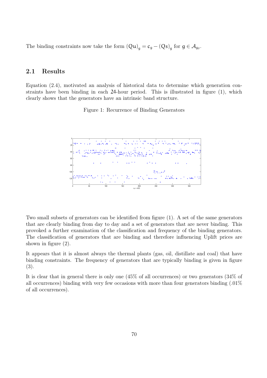The binding constraints now take the form  $(Qu)_{g} = c_{g} - (Qs)_{g}$  for  $g \in \mathcal{A}_{g}$ .

## 2.1 Results

Equation (2.4), motivated an analysis of historical data to determine which generation constraints have been binding in each 24-hour period. This is illustrated in figure (1), which clearly shows that the generators have an intrinsic band structure.

Figure 1: Recurrence of Binding Generators



Two small subsets of generators can be identified from figure (1). A set of the same generators that are clearly binding from day to day and a set of generators that are never binding. This provoked a further examination of the classification and frequency of the binding generators. The classification of generators that are binding and therefore influencing Uplift prices are shown in figure (2).

It appears that it is almost always the thermal plants (gas, oil, distillate and coal) that have binding constraints. The frequency of generators that are typically binding is given in figure (3).

It is clear that in general there is only one (45% of all occurrences) or two generators (34% of all occurrences) binding with very few occasions with more than four generators binding (.01% of all occurrences).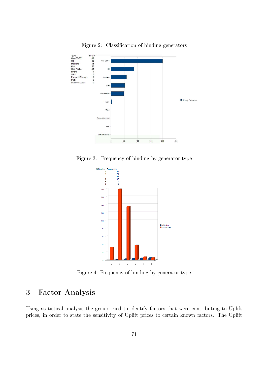

Figure 2: Classification of binding generators

Figure 3: Frequency of binding by generator type



Figure 4: Frequency of binding by generator type

# 3 Factor Analysis

Using statistical analysis the group tried to identify factors that were contributing to Uplift prices, in order to state the sensitivity of Uplift prices to certain known factors. The Uplift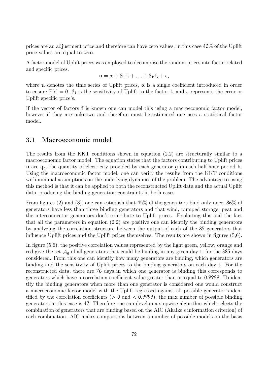prices are an adjustment price and therefore can have zero values, in this case 40% of the Uplift price values are equal to zero.

A factor model of Uplift prices was employed to decompose the random prices into factor related and specific prices.

$$
u=\alpha+\beta_1f_1+\ldots+\beta_kf_k+\epsilon,
$$

where  $\mu$  denotes the time series of Uplift prices,  $\alpha$  is a single coefficient introduced in order to ensure  $E[\varepsilon] = 0$ ,  $\beta_i$  is the sensitivity of Uplift to the factor  $f_i$  and  $\varepsilon$  represents the error or Uplift specific price's.

If the vector of factors f is known one can model this using a macroeconomic factor model, however if they are unknown and therefore must be estimated one uses a statistical factor model.

## 3.1 Macroeconomic model

The results from the KKT conditions shown in equation (2.2) are structurally similar to a macroeconomic factor model. The equation states that the factors contributing to Uplift prices u are  $q_{\alpha}$ , the quantity of electricity provided by each generator q in each half-hour period h. Using the macroeconomic factor model, one can verify the results from the KKT conditions with minimal assumptions on the underlying dynamics of the problem. The advantage to using this method is that it can be applied to both the reconstructed Uplift data and the actual Uplift data, producing the binding generation constraints in both cases.

From figures (2) and (3), one can establish that 45% of the generators bind only once, 86% of generators have less than three binding generators and that wind, pumped storage, peat and the interconnector generators don't contribute to Uplift prices. Exploiting this and the fact that all the parameters in equation (2.2) are positive one can identify the binding generators by analyzing the correlation structure between the output of each of the 85 generators that influence Uplift prices and the Uplift prices themselves. The results are shown in figures (5,6).

In figure (5,6), the positive correlation values represented by the light green, yellow, orange and red give the set  $A_{q}$  of all generators that could be binding in any given day t, for the 385 days considered. From this one can identify how many generators are binding, which generators are binding and the sensitivity of Uplift prices to the binding generators on each day t. For the reconstructed data, there are 76 days in which one generator is binding this corresponds to generators which have a correlation coefficient value greater than or equal to 0.9999. To identify the binding generators when more than one generator is considered one would construct a macroeconomic factor model with the Uplift regressed against all possible generator's identified by the correlation coefficients ( $> 0$  and  $< 0.9999$ ), the max number of possible binding generators in this case is 42. Therefore one can develop a stepwise algorithm which selects the combination of generators that are binding based on the AIC (Akaike's information criterion) of each combination. AIC makes comparisons between a number of possible models on the basis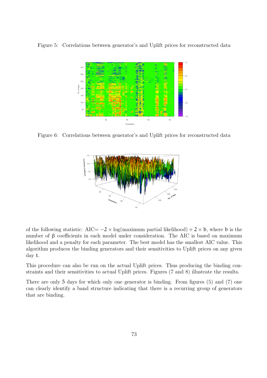Figure 5: Correlations between generator's and Uplift prices for reconstructed data



Figure 6: Correlations between generator's and Uplift prices for reconstructed data



of the following statistic:  $AIC = -2 \times \log(\text{maximum partial likelihood}) + 2 \times b$ , where b is the number of  $\beta$  coefficients in each model under consideration. The AIC is based on maximum likelihood and a penalty for each parameter. The best model has the smallest AIC value. This algorithm produces the binding generators and their sensitivities to Uplift prices on any given day t.

This procedure can also be run on the actual Uplift prices. Thus producing the binding constraints and their sensitivities to actual Uplift prices. Figures (7 and 8) illustrate the results.

There are only 5 days for which only one generator is binding. From figures (5) and (7) one can clearly identify a band structure indicating that there is a recurring group of generators that are binding.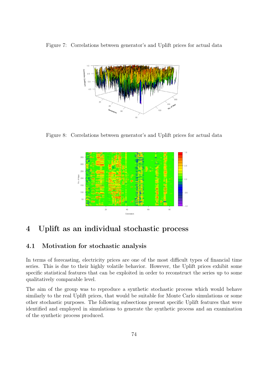Figure 7: Correlations between generator's and Uplift prices for actual data



Figure 8: Correlations between generator's and Uplift prices for actual data



# 4 Uplift as an individual stochastic process

## 4.1 Motivation for stochastic analysis

In terms of forecasting, electricity prices are one of the most difficult types of financial time series. This is due to their highly volatile behavior. However, the Uplift prices exhibit some specific statistical features that can be exploited in order to reconstruct the series up to some qualitatively comparable level.

The aim of the group was to reproduce a synthetic stochastic process which would behave similarly to the real Uplift prices, that would be suitable for Monte Carlo simulations or some other stochastic purposes. The following subsections present specific Uplift features that were identified and employed in simulations to generate the synthetic process and an examination of the synthetic process produced.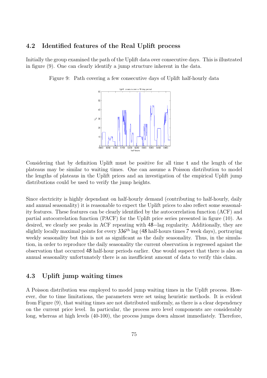#### 4.2 Identified features of the Real Uplift process

Initially the group examined the path of the Uplift data over consecutive days. This is illustrated in figure (9). One can clearly identify a jump structure inherent in the data.

Figure 9: Path covering a few consecutive days of Uplift half-hourly data



Considering that by definition Uplift must be positive for all time t and the length of the plateaus may be similar to waiting times. One can assume a Poisson distribution to model the lengths of plateaus in the Uplift prices and an investigation of the empirical Uplift jump distributions could be used to verify the jump heights.

Since electricity is highly dependant on half-hourly demand (contributing to half-hourly, daily and annual seasonality) it is reasonable to expect the Uplift prices to also reflect some seasonality features. These features can be clearly identified by the autocorrelation function (ACF) and partial autocorrelation function (PACF) for the Uplift price series presented in figure (10). As desired, we clearly see peaks in ACF repeating with 48−lag regularity. Additionally, they are slightly locally maximal points for every  $336<sup>th</sup>$  lag (48 half-hours times 7 week days), portraying weekly seasonality but this is not as significant as the daily seasonality. Thus, in the simulation, in order to reproduce the daily seasonality the current observation is regressed against the observation that occurred 48 half-hour periods earlier. One would suspect that there is also an annual seasonality unfortunately there is an insufficient amount of data to verify this claim.

## 4.3 Uplift jump waiting times

A Poisson distribution was employed to model jump waiting times in the Uplift process. However, due to time limitations, the parameters were set using heuristic methods. It is evident from Figure (9), that waiting times are not distributed uniformly, as there is a clear dependency on the current price level. In particular, the process zero level components are considerably long, whereas at high levels (40-100), the process jumps down almost immediately. Therefore,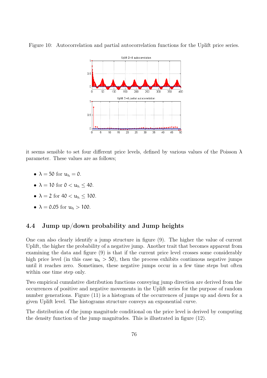

Figure 10: Autocorrelation and partial autocorrelation functions for the Uplift price series.

it seems sensible to set four different price levels, defined by various values of the Poisson  $\lambda$ parameter. These values are as follows;

- $\lambda = 50$  for  $u_h = 0$ .
- $\lambda = 10$  for  $0 < u_h < 40$ .
- $\lambda = 2$  for  $40 < u_h \le 100$ .
- $\lambda = 0.05$  for  $u_h > 100$ .

#### 4.4 Jump up/down probability and Jump heights

One can also clearly identify a jump structure in figure (9). The higher the value of current Uplift, the higher the probability of a negative jump. Another trait that becomes apparent from examining the data and figure (9) is that if the current price level crosses some considerably high price level (in this case  $u_h > 50$ ), then the process exhibits continuous negative jumps until it reaches zero. Sometimes, these negative jumps occur in a few time steps but often within one time step only.

Two empirical cumulative distribution functions conveying jump direction are derived from the occurrences of positive and negative movements in the Uplift series for the purpose of random number generations. Figure (11) is a histogram of the occurrences of jumps up and down for a given Uplift level. The histograms structure conveys an exponential curve.

The distribution of the jump magnitude conditional on the price level is derived by computing the density function of the jump magnitudes. This is illustrated in figure (12).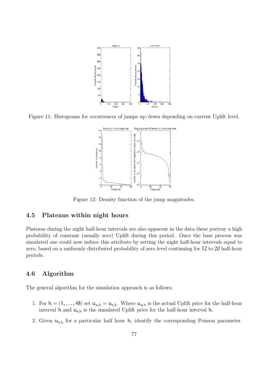

Figure 11: Histograms for occurrences of jumps up/down depending on current Uplift level.



Figure 12: Density function of the jump magnitudes.

## 4.5 Plateaus within night hours

Plateaus during the night half-hour intervals are also apparent in the data these portray a high probability of constant (usually zero) Uplift during this period. Once the base process was simulated one could now induce this attribute by setting the night half-hour intervals equal to zero, based on a uniformly distributed probability of zero level continuing for 12 to 20 half-hour periods.

## 4.6 Algorithm

The general algorithm for the simulation approach is as follows;

- 1. For  $h = (1, \ldots, 48)$  set  $u_{a,h} = u_{s,h}$ . Where  $u_{a,h}$  is the actual Uplift price for the half-hour interval h and  $u_{s,h}$  is the simulated Uplift price for the half-hour interval h.
- 2. Given  $\mathfrak{u}_{s,h}$  for a particular half hour h, identify the corresponding Poisson parameter.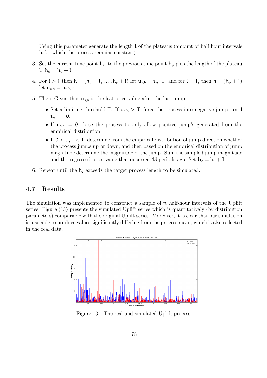Using this parameter generate the length l of the plateaus (amount of half hour intervals h for which the process remains constant).

- 3. Set the current time point  $h_c$ , to the previous time point  $h_p$  plus the length of the plateau l.  $h_c = h_p + l$ .
- 4. For  $l > 1$  then  $h = (h_p + 1, \ldots, h_p + l)$  let  $u_{s,h} = u_{s,h-1}$  and for  $l = 1$ , then  $h = (h_p + 1)$ let  $u_{s,h} = u_{s,h-1}$ .
- 5. Then, Given that  $\mathfrak{u}_{s,h}$  is the last price value after the last jump.
	- Set a limiting threshold T. If  $u_{s,h} > T$ , force the process into negative jumps until  $u_{s,h} = 0.$
	- If  $u_{s,h} = 0$ , force the process to only allow positive jump's generated from the empirical distribution.
	- If  $0 < u_{s,h} < T$ , determine from the empirical distribution of jump direction whether the process jumps up or down, and then based on the empirical distribution of jump magnitude determine the magnitude of the jump. Sum the sampled jump magnitude and the regressed price value that occurred 48 periods ago. Set  $h_c = h_c + 1$ .
- 6. Repeat until the  $h_c$  exceeds the target process length to be simulated.

#### 4.7 Results

The simulation was implemented to construct a sample of  $\pi$  half-hour intervals of the Uplift series. Figure (13) presents the simulated Uplift series which is quantitatively (by distribution parameters) comparable with the original Uplift series. Moreover, it is clear that our simulation is also able to produce values significantly differing from the process mean, which is also reflected in the real data.



Figure 13: The real and simulated Uplift process.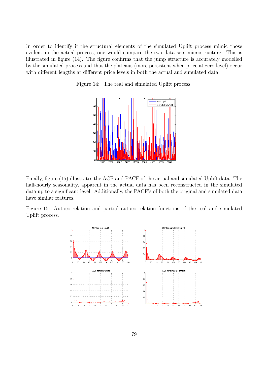In order to identify if the structural elements of the simulated Uplift process mimic those evident in the actual process, one would compare the two data sets microstructure. This is illustrated in figure (14). The figure confirms that the jump structure is accurately modelled by the simulated process and that the plateaus (more persistent when price at zero level) occur with different lengths at different price levels in both the actual and simulated data.

> \_\_\_\_\_\_\_\_\_\_\_\_\_\_\_\_\_\_<br>- real Uplift<br>- simulated Uplift  $\epsilon$  $\overline{\mathbf{5}}$  $\overline{4}$  $\overline{\mathbf{3}}$  $\overline{20}$ 10 **Acor**

Figure 14: The real and simulated Uplift process.

Finally, figure (15) illustrates the ACF and PACF of the actual and simulated Uplift data. The half-hourly seasonality, apparent in the actual data has been reconstructed in the simulated data up to a significant level. Additionally, the PACF's of both the original and simulated data have similar features.

Figure 15: Autocorrelation and partial autocorrelation functions of the real and simulated Uplift process.

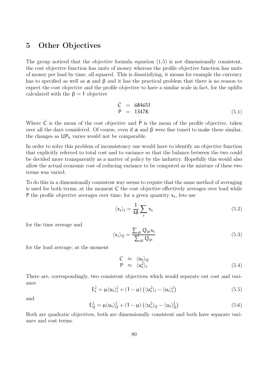# 5 Other Objectives

The group noticed that the objective formula equation (1.5) is not dimensionally consistent, the cost objective function has units of money whereas the profile objective function has units of money per load by time, all squared. This is dissatisfying, it means for example the currency has to specified as well as  $\alpha$  and  $\beta$  and it has the practical problem that there is no reason to expect the cost objective and the profile objective to have a similar scale in fact, for the uplifts calculated with the  $\beta = 1$  objective

$$
\begin{array}{rcl}\n\bar{C} & = & 684651\\
\bar{P} & = & 13478.\n\end{array} (5.1)
$$

Where  $\overline{C}$  is the mean of the cost objective and  $\overline{P}$  is the mean of the profile objective, taken over all the days considered. Of course, even if  $\alpha$  and  $\beta$  were fine tuned to make these similar, the changes as  $UP_h$  varies would not be comparable.

In order to solve this problem of inconsistency one would have to identify an objective function that explicitly referred to total cost and to variance so that the balance between the two could be decided more transparently as a matter of policy by the industry. Hopefully this would also allow the actual economic cost of reducing variance to be computed as the mixture of these two terms was varied.

To do this in a dimensionally consistent way seems to require that the same method of averaging is used for both terms, at the moment C the cost objective effectively averages over load while P the profile objective averages over time; for a given quantity  $x_t$ , lets use

$$
\langle \mathbf{x}_t \rangle_t = \frac{1}{48} \sum_t \mathbf{x}_t \tag{5.2}
$$

for the time average and

$$
\langle \mathbf{x}_{t} \rangle_{Q} = \frac{\sum_{gt} Q_{gt} \mathbf{x}_{t}}{\sum_{gt} Q_{gt}} \tag{5.3}
$$

for the load average; at the moment

$$
\begin{array}{rcl}\nC & \approx & \langle \mathbf{u}_t \rangle_Q \\
P & \approx & \langle \mathbf{u}_t^2 \rangle_t\n\end{array} \tag{5.4}
$$

There are, correspondingly, two consistent objectives which would separate out cost and variance

$$
E_t^2 = \mu \langle u_t \rangle_t^2 + (1 - \mu) \left( \langle u_t^2 \rangle_t - \langle u_t \rangle_t^2 \right) \tag{5.5}
$$

and

$$
E_Q^2 = \mu \langle u_t \rangle_Q^2 + (1 - \mu) \left( \langle u_t^2 \rangle_Q - \langle u_t \rangle_Q^2 \right) \tag{5.6}
$$

Both are quadratic objectives, both are dimensionally consistent and both have separate variance and cost terms.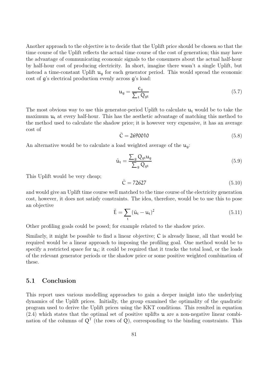Another approach to the objective is to decide that the Uplift price should be chosen so that the time course of the Uplift reflects the actual time course of the cost of generation; this may have the advantage of communicating economic signals to the consumers about the actual half-hour by half-hour cost of producing electricity. In short, imagine there wasn't a single Uplift, but instead a time-constant Uplift  $u_q$  for each generator period. This would spread the economic cost of g's electrical production evenly across g's load:

$$
\mathbf{u}_{g} = \frac{\mathbf{c}_{g}}{\sum_{t} Q_{gt}} \tag{5.7}
$$

The most obvious way to use this generator-period Uplift to calculate  $u_t$  would be to take the maximum  $u_t$  at every half-hour. This has the aesthetic advantage of matching this method to the method used to calculate the shadow price; it is however very expensive, it has an average cost of

$$
\bar{C} = 2690010
$$
 (5.8)

An alternative would be to calculate a load weighted average of the  $u_{\alpha}$ .

$$
\tilde{\mathbf{u}}_{t} = \frac{\sum_{g} Q_{gt} \mathbf{u}_{g}}{\sum_{g} Q_{gt}} \tag{5.9}
$$

This Uplift would be very cheap;

$$
\bar{C} = 72627\tag{5.10}
$$

and would give an Uplift time course well matched to the time course of the electricity generation cost, however, it does not satisfy constraints. The idea, therefore, would be to use this to pose an objective

$$
\tilde{E} = \sum_{t} (\tilde{u}_t - u_t)^2
$$
\n(5.11)

Other profiling goals could be posed; for example related to the shadow price.

Similarly, it might be possible to find a linear objective; C is already linear, all that would be required would be a linear approach to imposing the profiling goal. One method would be to specify a restricted space for  $u_t$ ; it could be required that it tracks the total load, or the loads of the relevant generator periods or the shadow price or some positive weighted combination of these.

#### 5.1 Conclusion

This report uses various modelling approaches to gain a deeper insight into the underlying dynamics of the Uplift prices. Initially, the group examined the optimality of the quadratic program used to derive the Uplift prices using the KKT conditions. This resulted in equation  $(2.4)$  which states that the optimal set of positive uplifts **u** are a non-negative linear combination of the columns of  $Q<sup>T</sup>$  (the rows of Q), corresponding to the binding constraints. This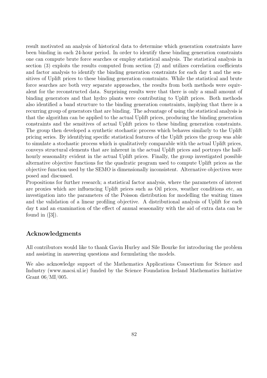result motivated an analysis of historical data to determine which generation constraints have been binding in each 24-hour period. In order to identify these binding generation constraints one can compute brute force searches or employ statistical analysis. The statistical analysis in section (3) exploits the results computed from section (2) and utilizes correlation coefficients and factor analysis to identify the binding generation constraints for each day t and the sensitives of Uplift prices to these binding generation constraints. While the statistical and brute force searches are both very separate approaches, the results from both methods were equivalent for the reconstructed data. Surprising results were that there is only a small amount of binding generators and that hydro plants were contributing to Uplift prices. Both methods also identified a band structure to the binding generation constraints, implying that there is a recurring group of generators that are binding. The advantage of using the statistical analysis is that the algorithm can be applied to the actual Uplift prices, producing the binding generation constraints and the sensitives of actual Uplift prices to these binding generation constraints. The group then developed a synthetic stochastic process which behaves similarly to the Uplift pricing series. By identifying specific statistical features of the Uplift prices the group was able to simulate a stochastic process which is qualitatively comparable with the actual Uplift prices, conveys structural elements that are inherent in the actual Uplift prices and portrays the halfhourly seasonality evident in the actual Uplift prices. Finally, the group investigated possible alternative objective functions for the quadratic program used to compute Uplift prices as the objective function used by the SEMO is dimensionally inconsistent. Alternative objectives were posed and discussed.

Propositions for further research; a statistical factor analysis, where the parameters of interest are proxies which are influencing Uplift prices such as Oil prices, weather conditions etc, an investigation into the parameters of the Poisson distribution for modelling the waiting times and the validation of a linear profiling objective. A distributional analysis of Uplift for each day t and an examination of the effect of annual seasonality with the aid of extra data can be found in  $([3])$ .

## Acknowledgments

All contributors would like to thank Gavin Hurley and Sile Bourke for introducing the problem and assisting in answering questions and formulating the models.

We also acknowledge support of the Mathematics Applications Consortium for Science and Industry (www.macsi.ul.ie) funded by the Science Foundation Ireland Mathematics Initiative Grant 06/MI/005.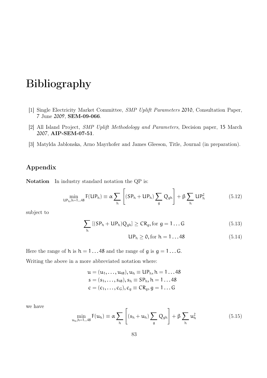# Bibliography

- [1] Single Electricity Market Committee, SMP Uplift Parameters 2010, Consultation Paper, 7 June 2009, SEM-09-066.
- [2] All Island Project, SMP Uplift Methodology and Parameters, Decision paper, 15 March 2007, AIP-SEM-07-51.
- [3] Matylda Jablonska, Arno Mayrhofer and James Gleeson, Title, Journal (in preparation).

## Appendix

Notation In industry standard notation the QP is:

$$
\min_{\mathsf{UP}_h, h=1\ldots 48} \mathsf{F}(\mathsf{UP}_h) \equiv \alpha \sum_h \left[ (\mathsf{SP}_h + \mathsf{UP}_h) \sum_g Q_{gh} \right] + \beta \sum_h \mathsf{UP}_h^2 \tag{5.12}
$$

subject to

$$
\sum_h \left[ (SP_h + UP_h) Q_{gh} \right] \geq CR_g, \text{for } g = 1 \dots G \tag{5.13}
$$

$$
UP_h \ge 0, \text{for } h = 1...48 \tag{5.14}
$$

Here the range of h is  $h = 1...48$  and the range of g is  $g = 1...6$ .

Writing the above in a more abbreviated notation where:

 $u = (u_1, \ldots, u_{48}), u_h \equiv \text{UP}_h, h = 1 \ldots 48$  $s = (s_1, \ldots, s_{48}), s_h \equiv SP_h, h = 1 \ldots 48$  $c = (c_1, ..., c_G), c_g \equiv CR_g, g = 1...G$ 

we have

$$
\min_{\mathfrak{u}_h, h=1\ldots 48} F(\mathfrak{u}_h) \equiv \alpha \sum_h \left[ (s_h + \mathfrak{u}_h) \sum_g Q_{gh} \right] + \beta \sum_h \mathfrak{u}_h^2 \tag{5.15}
$$